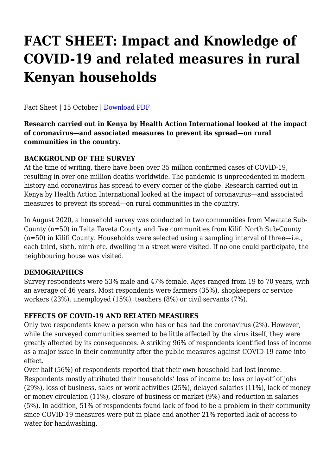# **FACT SHEET: Impact and Knowledge of COVID-19 and related measures in rural Kenyan households**

Fact Sheet | 15 October | [Do](https://haiweb.org/wp-content/uploads/2020/10/Policy-Recommendations-Approval-Pathways_Oct2020.pdf)[wnload PDF](https://haiweb.org/wp-content/uploads/2020/10/Fact-Sheet_COVID19_in_Rural_Kenya.pdf)

**Research carried out in Kenya by Health Action International looked at the impact of coronavirus—and associated measures to prevent its spread—on rural communities in the country.**

## **BACKGROUND OF THE SURVEY**

At the time of writing, there have been over 35 million confirmed cases of COVID-19, resulting in over one million deaths worldwide. The pandemic is unprecedented in modern history and coronavirus has spread to every corner of the globe. Research carried out in Kenya by Health Action International looked at the impact of coronavirus—and associated measures to prevent its spread—on rural communities in the country.

In August 2020, a household survey was conducted in two communities from Mwatate Sub-County (n=50) in Taita Taveta County and five communities from Kilifi North Sub-County (n=50) in Kilifi County. Households were selected using a sampling interval of three—i.e., each third, sixth, ninth etc. dwelling in a street were visited. If no one could participate, the neighbouring house was visited.

## **DEMOGRAPHICS**

Survey respondents were 53% male and 47% female. Ages ranged from 19 to 70 years, with an average of 46 years. Most respondents were farmers (35%), shopkeepers or service workers (23%), unemployed (15%), teachers (8%) or civil servants (7%).

## **EFFECTS OF COVID-19 AND RELATED MEASURES**

Only two respondents knew a person who has or has had the coronavirus (2%). However, while the surveyed communities seemed to be little affected by the virus itself, they were greatly affected by its consequences. A striking 96% of respondents identified loss of income as a major issue in their community after the public measures against COVID-19 came into effect.

Over half (56%) of respondents reported that their own household had lost income. Respondents mostly attributed their households' loss of income to: loss or lay-off of jobs (29%), loss of business, sales or work activities (25%), delayed salaries (11%), lack of money or money circulation (11%), closure of business or market (9%) and reduction in salaries (5%). In addition, 51% of respondents found lack of food to be a problem in their community since COVID-19 measures were put in place and another 21% reported lack of access to water for handwashing.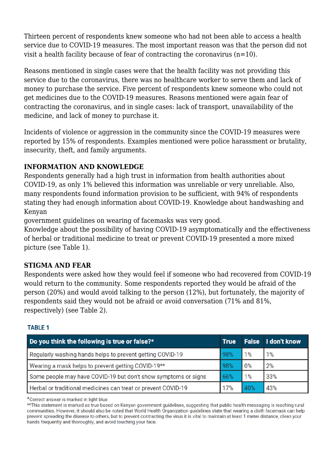Thirteen percent of respondents knew someone who had not been able to access a health service due to COVID-19 measures. The most important reason was that the person did not visit a health facility because of fear of contracting the coronavirus  $(n=10)$ .

Reasons mentioned in single cases were that the health facility was not providing this service due to the coronavirus, there was no healthcare worker to serve them and lack of money to purchase the service. Five percent of respondents knew someone who could not get medicines due to the COVID-19 measures. Reasons mentioned were again fear of contracting the coronavirus, and in single cases: lack of transport, unavailability of the medicine, and lack of money to purchase it.

Incidents of violence or aggression in the community since the COVID-19 measures were reported by 15% of respondents. Examples mentioned were police harassment or brutality, insecurity, theft, and family arguments.

## **INFORMATION AND KNOWLEDGE**

Respondents generally had a high trust in information from health authorities about COVID-19, as only 1% believed this information was unreliable or very unreliable. Also, many respondents found information provision to be sufficient, with 94% of respondents stating they had enough information about COVID-19. Knowledge about handwashing and Kenyan

government guidelines on wearing of facemasks was very good.

Knowledge about the possibility of having COVID-19 asymptomatically and the effectiveness of herbal or traditional medicine to treat or prevent COVID-19 presented a more mixed picture (see Table 1).

## **STIGMA AND FEAR**

Respondents were asked how they would feel if someone who had recovered from COVID-19 would return to the community. Some respondents reported they would be afraid of the person (20%) and would avoid talking to the person (12%), but fortunately, the majority of respondents said they would not be afraid or avoid conversation (71% and 81%, respectively) (see Table 2).

### **TABLE 1**

| Do you think the following is true or false?*                  | <b>True</b> |     | <b>False</b> I don't know |
|----------------------------------------------------------------|-------------|-----|---------------------------|
| Regularly washing hands helps to prevent getting COVID-19      | 98%         | 1%  | 1%                        |
| Wearing a mask helps to prevent getting COVID-19**             | 98%         | 0%  | 2%                        |
| Some people may have COVID-19 but don't show symptoms or signs | 66%         | 1%  | 33%                       |
| Herbal or traditional medicines can treat or prevent COVID-19  | 17%         | 40% | 43%                       |

\*Correct answer is marked in light blue

\*\* This statement is marked as true based on Kenyan government quidelines, suggesting that public health messaging is reaching rural communities. However, it should also be noted that World Health Organization quidelines state that wearing a cloth facemask can help prevent spreading the disease to others, but to prevent contracting the virus it is vital to maintain at least 1 meter distance, clean your hands frequently and thoroughly, and avoid touching your face.